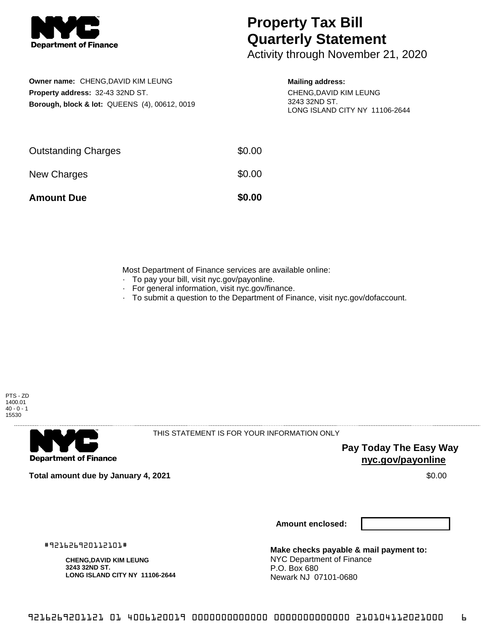

## **Property Tax Bill Quarterly Statement**

Activity through November 21, 2020

**Owner name:** CHENG,DAVID KIM LEUNG **Property address:** 32-43 32ND ST. **Borough, block & lot:** QUEENS (4), 00612, 0019

## **Mailing address:**

CHENG,DAVID KIM LEUNG 3243 32ND ST. LONG ISLAND CITY NY 11106-2644

| <b>Amount Due</b>          | \$0.00 |
|----------------------------|--------|
| New Charges                | \$0.00 |
| <b>Outstanding Charges</b> | \$0.00 |

Most Department of Finance services are available online:

- · To pay your bill, visit nyc.gov/payonline.
- For general information, visit nyc.gov/finance.
- · To submit a question to the Department of Finance, visit nyc.gov/dofaccount.





THIS STATEMENT IS FOR YOUR INFORMATION ONLY

**Pay Today The Easy Way nyc.gov/payonline**

**Total amount due by January 4, 2021** \$0.00

**Amount enclosed:**

#921626920112101#

**CHENG,DAVID KIM LEUNG 3243 32ND ST. LONG ISLAND CITY NY 11106-2644**

**Make checks payable & mail payment to:** NYC Department of Finance P.O. Box 680 Newark NJ 07101-0680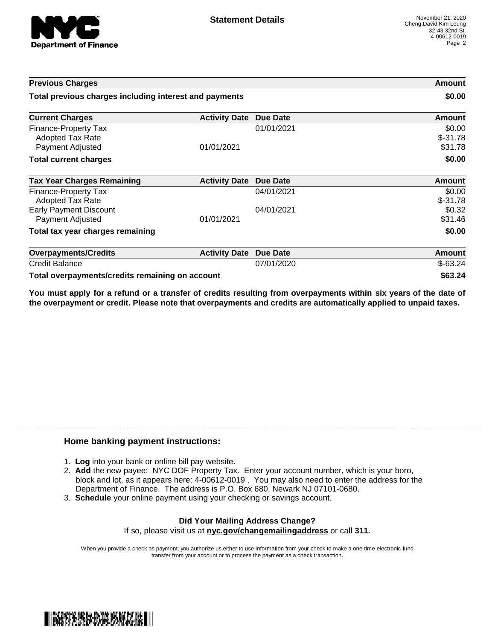

| <b>Previous Charges</b>                                             |                      | Amount<br>\$0.00 |                                |
|---------------------------------------------------------------------|----------------------|------------------|--------------------------------|
| Total previous charges including interest and payments              |                      |                  |                                |
| <b>Current Charges</b>                                              | <b>Activity Date</b> | <b>Due Date</b>  | <b>Amount</b>                  |
| Finance-Property Tax<br><b>Adopted Tax Rate</b><br>Payment Adjusted | 01/01/2021           | 01/01/2021       | \$0.00<br>$$-31.78$<br>\$31.78 |
| <b>Total current charges</b>                                        |                      |                  | \$0.00                         |
| <b>Tax Year Charges Remaining</b>                                   | <b>Activity Date</b> | Due Date         | Amount                         |
| Finance-Property Tax<br><b>Adopted Tax Rate</b>                     |                      | 04/01/2021       | \$0.00<br>$$-31.78$            |
| <b>Early Payment Discount</b><br>Payment Adjusted                   | 01/01/2021           | 04/01/2021       | \$0.32<br>\$31.46              |
| Total tax year charges remaining                                    |                      |                  | \$0.00                         |
| <b>Overpayments/Credits</b>                                         | <b>Activity Date</b> | <b>Due Date</b>  | <b>Amount</b>                  |
| <b>Credit Balance</b>                                               |                      | 07/01/2020       | $$-63.24$                      |
| Total overpayments/credits remaining on account                     |                      |                  | \$63.24                        |

You must apply for a refund or a transfer of credits resulting from overpayments within six years of the date of **the overpayment or credit. Please note that overpayments and credits are automatically applied to unpaid taxes.**

## **Home banking payment instructions:**

- 1. **Log** into your bank or online bill pay website.
- 2. **Add** the new payee: NYC DOF Property Tax. Enter your account number, which is your boro, block and lot, as it appears here: 4-00612-0019 . You may also need to enter the address for the Department of Finance. The address is P.O. Box 680, Newark NJ 07101-0680.
- 3. **Schedule** your online payment using your checking or savings account.

## **Did Your Mailing Address Change?** If so, please visit us at **nyc.gov/changemailingaddress** or call **311.**

When you provide a check as payment, you authorize us either to use information from your check to make a one-time electronic fund transfer from your account or to process the payment as a check transaction.